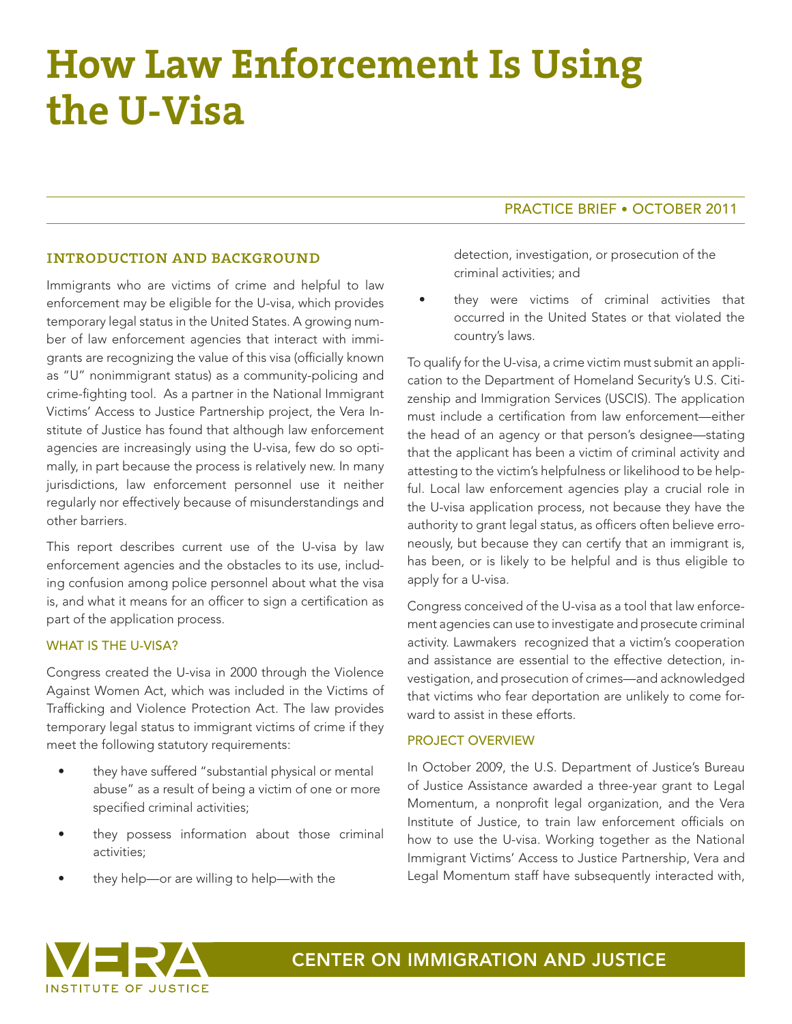# **How Law Enforcement Is Using the U-Visa**

## introduction and background

Immigrants who are victims of crime and helpful to law enforcement may be eligible for the U-visa, which provides temporary legal status in the United States. A growing number of law enforcement agencies that interact with immigrants are recognizing the value of this visa (officially known as "U" nonimmigrant status) as a community-policing and crime-fighting tool. As a partner in the National Immigrant Victims' Access to Justice Partnership project, the Vera Institute of Justice has found that although law enforcement agencies are increasingly using the U-visa, few do so optimally, in part because the process is relatively new. In many jurisdictions, law enforcement personnel use it neither regularly nor effectively because of misunderstandings and other barriers.

This report describes current use of the U-visa by law enforcement agencies and the obstacles to its use, including confusion among police personnel about what the visa is, and what it means for an officer to sign a certification as part of the application process.

#### WHAT IS THE U-VISA?

Congress created the U-visa in 2000 through the Violence Against Women Act, which was included in the Victims of Trafficking and Violence Protection Act. The law provides temporary legal status to immigrant victims of crime if they meet the following statutory requirements:

- they have suffered "substantial physical or mental abuse" as a result of being a victim of one or more specified criminal activities;
- they possess information about those criminal activities;
- they help—or are willing to help—with the

# PRACTICE BRIEF • OCTOBER 2011

detection, investigation, or prosecution of the criminal activities; and

they were victims of criminal activities that occurred in the United States or that violated the country's laws.

To qualify for the U-visa, a crime victim must submit an application to the Department of Homeland Security's U.S. Citizenship and Immigration Services (USCIS). The application must include a certification from law enforcement—either the head of an agency or that person's designee—stating that the applicant has been a victim of criminal activity and attesting to the victim's helpfulness or likelihood to be helpful. Local law enforcement agencies play a crucial role in the U-visa application process, not because they have the authority to grant legal status, as officers often believe erroneously, but because they can certify that an immigrant is, has been, or is likely to be helpful and is thus eligible to apply for a U-visa.

Congress conceived of the U-visa as a tool that law enforcement agencies can use to investigate and prosecute criminal activity. Lawmakers recognized that a victim's cooperation and assistance are essential to the effective detection, investigation, and prosecution of crimes—and acknowledged that victims who fear deportation are unlikely to come forward to assist in these efforts.

#### PROJECT OVERVIEW

In October 2009, the U.S. Department of Justice's Bureau of Justice Assistance awarded a three-year grant to Legal Momentum, a nonprofit legal organization, and the Vera Institute of Justice, to train law enforcement officials on how to use the U-visa. Working together as the National Immigrant Victims' Access to Justice Partnership, Vera and Legal Momentum staff have subsequently interacted with,

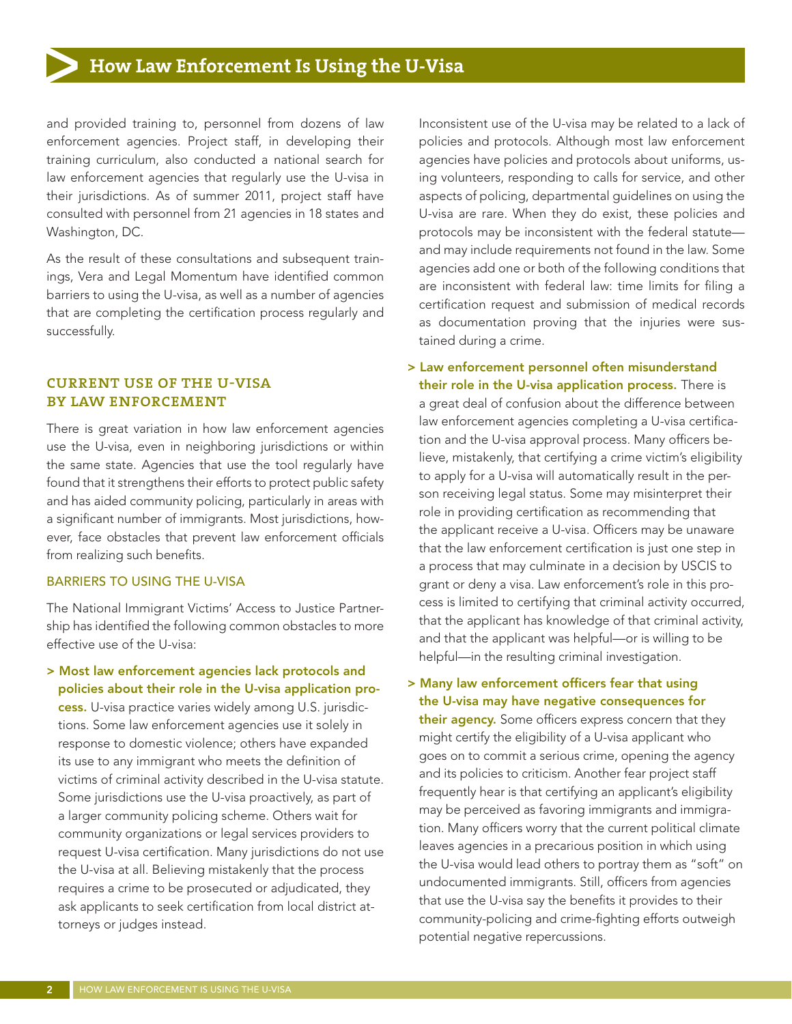# **How Law Enforcement Is Using the U-Visa**

and provided training to, personnel from dozens of law enforcement agencies. Project staff, in developing their training curriculum, also conducted a national search for law enforcement agencies that regularly use the U-visa in their jurisdictions. As of summer 2011, project staff have consulted with personnel from 21 agencies in 18 states and Washington, DC.

As the result of these consultations and subsequent trainings, Vera and Legal Momentum have identified common barriers to using the U-visa, as well as a number of agencies that are completing the certification process regularly and successfully.

# current use of the u-visa by law enforcement

There is great variation in how law enforcement agencies use the U-visa, even in neighboring jurisdictions or within the same state. Agencies that use the tool regularly have found that it strengthens their efforts to protect public safety and has aided community policing, particularly in areas with a significant number of immigrants. Most jurisdictions, however, face obstacles that prevent law enforcement officials from realizing such benefits.

#### BARRIERS TO USING THE U-VISA

The National Immigrant Victims' Access to Justice Partnership has identified the following common obstacles to more effective use of the U-visa:

> Most law enforcement agencies lack protocols and policies about their role in the U-visa application process. U-visa practice varies widely among U.S. jurisdictions. Some law enforcement agencies use it solely in response to domestic violence; others have expanded its use to any immigrant who meets the definition of victims of criminal activity described in the U-visa statute. Some jurisdictions use the U-visa proactively, as part of a larger community policing scheme. Others wait for community organizations or legal services providers to request U-visa certification. Many jurisdictions do not use the U-visa at all. Believing mistakenly that the process requires a crime to be prosecuted or adjudicated, they ask applicants to seek certification from local district attorneys or judges instead.

Inconsistent use of the U-visa may be related to a lack of policies and protocols. Although most law enforcement agencies have policies and protocols about uniforms, using volunteers, responding to calls for service, and other aspects of policing, departmental guidelines on using the U-visa are rare. When they do exist, these policies and protocols may be inconsistent with the federal statute and may include requirements not found in the law. Some agencies add one or both of the following conditions that are inconsistent with federal law: time limits for filing a certification request and submission of medical records as documentation proving that the injuries were sustained during a crime.

- > Law enforcement personnel often misunderstand their role in the U-visa application process. There is a great deal of confusion about the difference between law enforcement agencies completing a U-visa certification and the U-visa approval process. Many officers believe, mistakenly, that certifying a crime victim's eligibility to apply for a U-visa will automatically result in the person receiving legal status. Some may misinterpret their role in providing certification as recommending that the applicant receive a U-visa. Officers may be unaware that the law enforcement certification is just one step in a process that may culminate in a decision by USCIS to grant or deny a visa. Law enforcement's role in this process is limited to certifying that criminal activity occurred, that the applicant has knowledge of that criminal activity, and that the applicant was helpful—or is willing to be helpful—in the resulting criminal investigation.
- > Many law enforcement officers fear that using the U-visa may have negative consequences for their agency. Some officers express concern that they might certify the eligibility of a U-visa applicant who goes on to commit a serious crime, opening the agency and its policies to criticism. Another fear project staff frequently hear is that certifying an applicant's eligibility may be perceived as favoring immigrants and immigration. Many officers worry that the current political climate leaves agencies in a precarious position in which using the U-visa would lead others to portray them as "soft" on undocumented immigrants. Still, officers from agencies that use the U-visa say the benefits it provides to their community-policing and crime-fighting efforts outweigh potential negative repercussions.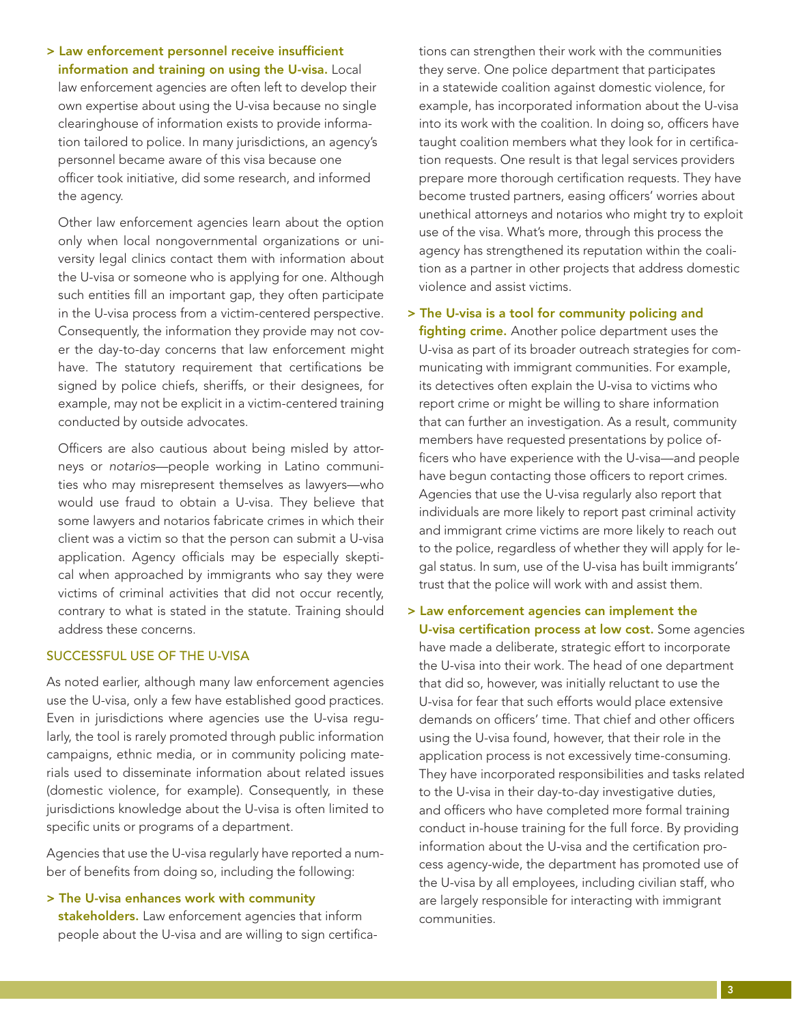> Law enforcement personnel receive insufficient information and training on using the U-visa. Local law enforcement agencies are often left to develop their own expertise about using the U-visa because no single clearinghouse of information exists to provide information tailored to police. In many jurisdictions, an agency's personnel became aware of this visa because one officer took initiative, did some research, and informed the agency.

Other law enforcement agencies learn about the option only when local nongovernmental organizations or university legal clinics contact them with information about the U-visa or someone who is applying for one. Although such entities fill an important gap, they often participate in the U-visa process from a victim-centered perspective. Consequently, the information they provide may not cover the day-to-day concerns that law enforcement might have. The statutory requirement that certifications be signed by police chiefs, sheriffs, or their designees, for example, may not be explicit in a victim-centered training conducted by outside advocates.

Officers are also cautious about being misled by attorneys or *notarios*—people working in Latino communities who may misrepresent themselves as lawyers—who would use fraud to obtain a U-visa. They believe that some lawyers and notarios fabricate crimes in which their client was a victim so that the person can submit a U-visa application. Agency officials may be especially skeptical when approached by immigrants who say they were victims of criminal activities that did not occur recently, contrary to what is stated in the statute. Training should address these concerns.

#### SUCCESSFUL USE OF THE U-VISA

As noted earlier, although many law enforcement agencies use the U-visa, only a few have established good practices. Even in jurisdictions where agencies use the U-visa regularly, the tool is rarely promoted through public information campaigns, ethnic media, or in community policing materials used to disseminate information about related issues (domestic violence, for example). Consequently, in these jurisdictions knowledge about the U-visa is often limited to specific units or programs of a department.

Agencies that use the U-visa regularly have reported a number of benefits from doing so, including the following:

> The U-visa enhances work with community stakeholders. Law enforcement agencies that inform people about the U-visa and are willing to sign certifications can strengthen their work with the communities they serve. One police department that participates in a statewide coalition against domestic violence, for example, has incorporated information about the U-visa into its work with the coalition. In doing so, officers have taught coalition members what they look for in certification requests. One result is that legal services providers prepare more thorough certification requests. They have become trusted partners, easing officers' worries about unethical attorneys and notarios who might try to exploit use of the visa. What's more, through this process the agency has strengthened its reputation within the coalition as a partner in other projects that address domestic violence and assist victims.

> The U-visa is a tool for community policing and

fighting crime. Another police department uses the U-visa as part of its broader outreach strategies for communicating with immigrant communities. For example, its detectives often explain the U-visa to victims who report crime or might be willing to share information that can further an investigation. As a result, community members have requested presentations by police officers who have experience with the U-visa—and people have begun contacting those officers to report crimes. Agencies that use the U-visa regularly also report that individuals are more likely to report past criminal activity and immigrant crime victims are more likely to reach out to the police, regardless of whether they will apply for legal status. In sum, use of the U-visa has built immigrants' trust that the police will work with and assist them.

> Law enforcement agencies can implement the U-visa certification process at low cost. Some agencies have made a deliberate, strategic effort to incorporate the U-visa into their work. The head of one department that did so, however, was initially reluctant to use the U-visa for fear that such efforts would place extensive demands on officers' time. That chief and other officers using the U-visa found, however, that their role in the application process is not excessively time-consuming. They have incorporated responsibilities and tasks related to the U-visa in their day-to-day investigative duties, and officers who have completed more formal training conduct in-house training for the full force. By providing information about the U-visa and the certification process agency-wide, the department has promoted use of the U-visa by all employees, including civilian staff, who are largely responsible for interacting with immigrant communities.